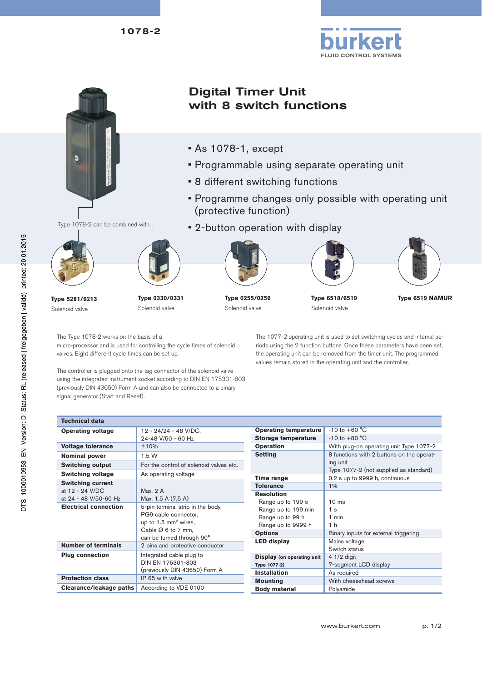





The Type 1078-2 works on the basis of a micro- processor and is used for controlling the cycle times of solenoid valves. Eight different cycle times can be set up.

The controller is plugged onto the tag connector of the solenoid valve using the integrated instrument socket according to DIN EN 175301-803 (previously DIN 43650) Form A and can also be connected to a binary signal generator (Start and Reset).

The 1077-2 operating unit is used to set switching cycles and interval periods using the 2 function buttons. Once these parameters have been set, the operating unit can be removed from the timer unit. The programmed values remain stored in the operating unit and the controller.

| <b>Technical data</b>        |                                                                                                                                                      |                                   |                                           |
|------------------------------|------------------------------------------------------------------------------------------------------------------------------------------------------|-----------------------------------|-------------------------------------------|
| <b>Operating voltage</b>     | 12 - 24/24 - 48 V/DC,                                                                                                                                | <b>Operating temperature</b>      | $-10$ to $+60$ °C                         |
|                              | 24-48 V/50 - 60 Hz                                                                                                                                   | Storage temperature               | $-10$ to $+80$ °C                         |
| <b>Voltage tolerance</b>     | ±10%                                                                                                                                                 | <b>Operation</b>                  | With plug-on operating unit Type 1077-2   |
| <b>Nominal power</b>         | 1.5W                                                                                                                                                 | <b>Setting</b>                    | 8 functions with 2 buttons on the operat- |
| <b>Switching output</b>      | For the control of solenoid valves etc.                                                                                                              |                                   | ing unit                                  |
| <b>Switching voltage</b>     | As operating voltage                                                                                                                                 |                                   | Type 1077-2 (not supplied as standard)    |
| <b>Switching current</b>     |                                                                                                                                                      | Time range                        | 0.2 s up to 9999 h, continuous            |
| at 12 - 24 V/DC              | Max. 2 A                                                                                                                                             | <b>Tolerance</b>                  | $1\%$                                     |
|                              |                                                                                                                                                      | <b>Resolution</b>                 |                                           |
| at 24 - 48 V/50-60 Hz        | Max. 1.5 A (7.5 A)                                                                                                                                   | Range up to 199 s                 | 10 <sub>ms</sub>                          |
| <b>Electrical connection</b> | 5-pin terminal strip in the body,<br>PG9 cable connector,<br>up to $1.5$ mm <sup>2</sup> wires,<br>Cable $Ø$ 6 to 7 mm,<br>can be turned through 90° | Range up to 199 min               | 1 <sub>s</sub>                            |
|                              |                                                                                                                                                      | Range up to 99 h                  | $1$ min                                   |
|                              |                                                                                                                                                      | Range up to 9999 h                | 1 h                                       |
|                              |                                                                                                                                                      | <b>Options</b>                    | Binary inputs for external triggering     |
|                              |                                                                                                                                                      | <b>LED display</b>                | Mains voltage                             |
| <b>Number of terminals</b>   | 2 pins and protective conductor                                                                                                                      |                                   | Switch status                             |
| <b>Plug connection</b>       | Integrated cable plug to<br>DIN EN 175301-803<br>(previously DIN 43650) Form A                                                                       | <b>Display</b> (on operating unit | 4 1/2 digit                               |
|                              |                                                                                                                                                      | Type 1077-2)                      | 7-segment LCD display                     |
|                              |                                                                                                                                                      | <b>Installation</b>               | As required                               |
| <b>Protection class</b>      | IP 65 with valve                                                                                                                                     | <b>Mounting</b>                   | With cheesehead screws                    |
| Clearance/leakage paths      | According to VDE 0100                                                                                                                                | <b>Body material</b>              | Polyamide                                 |